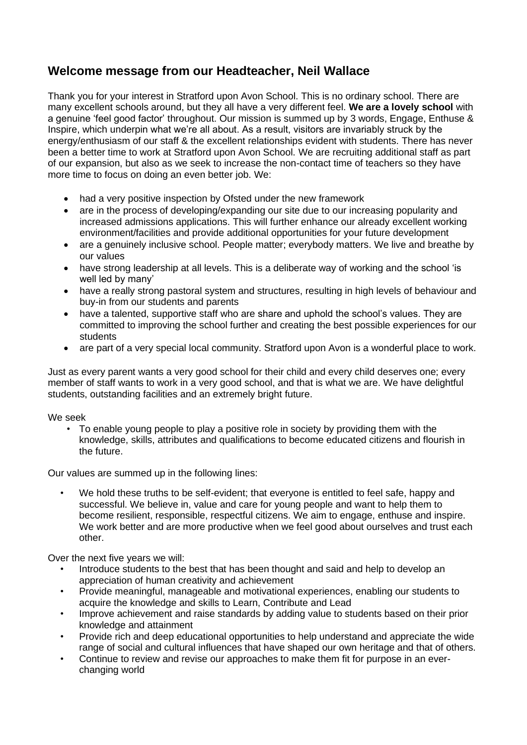## **Welcome message from our Headteacher, Neil Wallace**

Thank you for your interest in Stratford upon Avon School. This is no ordinary school. There are many excellent schools around, but they all have a very different feel. **We are a lovely school** with a genuine 'feel good factor' throughout. Our mission is summed up by 3 words, Engage, Enthuse & Inspire, which underpin what we're all about. As a result, visitors are invariably struck by the energy/enthusiasm of our staff & the excellent relationships evident with students. There has never been a better time to work at Stratford upon Avon School. We are recruiting additional staff as part of our expansion, but also as we seek to increase the non-contact time of teachers so they have more time to focus on doing an even better job. We:

- had a very positive inspection by Ofsted under the new framework
- are in the process of developing/expanding our site due to our increasing popularity and increased admissions applications. This will further enhance our already excellent working environment/facilities and provide additional opportunities for your future development
- are a genuinely inclusive school. People matter; everybody matters. We live and breathe by our values
- have strong leadership at all levels. This is a deliberate way of working and the school 'is well led by many'
- have a really strong pastoral system and structures, resulting in high levels of behaviour and buy-in from our students and parents
- have a talented, supportive staff who are share and uphold the school's values. They are committed to improving the school further and creating the best possible experiences for our students
- are part of a very special local community. Stratford upon Avon is a wonderful place to work.

Just as every parent wants a very good school for their child and every child deserves one; every member of staff wants to work in a very good school, and that is what we are. We have delightful students, outstanding facilities and an extremely bright future.

We seek

• To enable young people to play a positive role in society by providing them with the knowledge, skills, attributes and qualifications to become educated citizens and flourish in the future.

Our values are summed up in the following lines:

We hold these truths to be self-evident; that everyone is entitled to feel safe, happy and successful. We believe in, value and care for young people and want to help them to become resilient, responsible, respectful citizens. We aim to engage, enthuse and inspire. We work better and are more productive when we feel good about ourselves and trust each other.

Over the next five years we will:

- Introduce students to the best that has been thought and said and help to develop an appreciation of human creativity and achievement
- Provide meaningful, manageable and motivational experiences, enabling our students to acquire the knowledge and skills to Learn, Contribute and Lead
- Improve achievement and raise standards by adding value to students based on their prior knowledge and attainment
- Provide rich and deep educational opportunities to help understand and appreciate the wide range of social and cultural influences that have shaped our own heritage and that of others.
- Continue to review and revise our approaches to make them fit for purpose in an everchanging world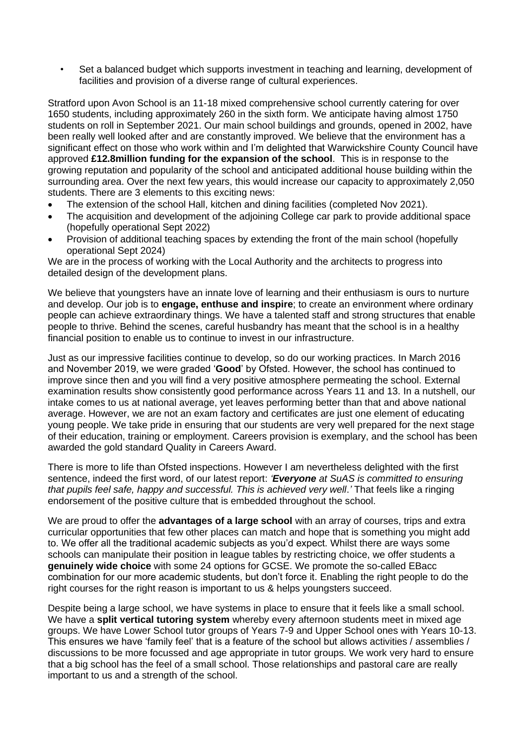• Set a balanced budget which supports investment in teaching and learning, development of facilities and provision of a diverse range of cultural experiences.

Stratford upon Avon School is an 11-18 mixed comprehensive school currently catering for over 1650 students, including approximately 260 in the sixth form. We anticipate having almost 1750 students on roll in September 2021. Our main school buildings and grounds, opened in 2002, have been really well looked after and are constantly improved. We believe that the environment has a significant effect on those who work within and I'm delighted that Warwickshire County Council have approved **£12.8million funding for the expansion of the school**. This is in response to the growing reputation and popularity of the school and anticipated additional house building within the surrounding area. Over the next few years, this would increase our capacity to approximately 2,050 students. There are 3 elements to this exciting news:

- The extension of the school Hall, kitchen and dining facilities (completed Nov 2021).
- The acquisition and development of the adjoining College car park to provide additional space (hopefully operational Sept 2022)
- Provision of additional teaching spaces by extending the front of the main school (hopefully operational Sept 2024)

We are in the process of working with the Local Authority and the architects to progress into detailed design of the development plans.

We believe that youngsters have an innate love of learning and their enthusiasm is ours to nurture and develop. Our job is to **engage, enthuse and inspire**; to create an environment where ordinary people can achieve extraordinary things. We have a talented staff and strong structures that enable people to thrive. Behind the scenes, careful husbandry has meant that the school is in a healthy financial position to enable us to continue to invest in our infrastructure.

Just as our impressive facilities continue to develop, so do our working practices. In March 2016 and November 2019, we were graded '**Good**' by Ofsted. However, the school has continued to improve since then and you will find a very positive atmosphere permeating the school. External examination results show consistently good performance across Years 11 and 13. In a nutshell, our intake comes to us at national average, yet leaves performing better than that and above national average. However, we are not an exam factory and certificates are just one element of educating young people. We take pride in ensuring that our students are very well prepared for the next stage of their education, training or employment. Careers provision is exemplary, and the school has been awarded the gold standard Quality in Careers Award.

There is more to life than Ofsted inspections. However I am nevertheless delighted with the first sentence, indeed the first word, of our latest report: *'Everyone at SuAS is committed to ensuring that pupils feel safe, happy and successful. This is achieved very well*.*'* That feels like a ringing endorsement of the positive culture that is embedded throughout the school.

We are proud to offer the **advantages of a large school** with an array of courses, trips and extra curricular opportunities that few other places can match and hope that is something you might add to. We offer all the traditional academic subjects as you'd expect. Whilst there are ways some schools can manipulate their position in league tables by restricting choice, we offer students a **genuinely wide choice** with some 24 options for GCSE. We promote the so-called EBacc combination for our more academic students, but don't force it. Enabling the right people to do the right courses for the right reason is important to us & helps youngsters succeed.

Despite being a large school, we have systems in place to ensure that it feels like a small school. We have a **split vertical tutoring system** whereby every afternoon students meet in mixed age groups. We have Lower School tutor groups of Years 7-9 and Upper School ones with Years 10-13. This ensures we have 'family feel' that is a feature of the school but allows activities / assemblies / discussions to be more focussed and age appropriate in tutor groups. We work very hard to ensure that a big school has the feel of a small school. Those relationships and pastoral care are really important to us and a strength of the school.